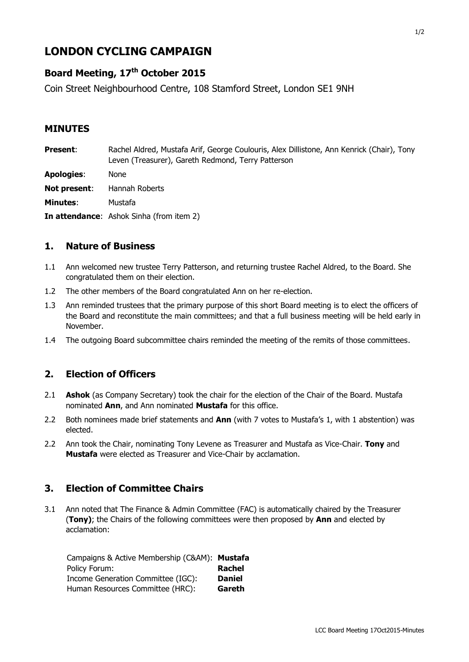# **LONDON CYCLING CAMPAIGN**

## **Board Meeting, 17 th October 2015**

Coin Street Neighbourhood Centre, 108 Stamford Street, London SE1 9NH

#### **MINUTES**

| <b>Present:</b>   | Rachel Aldred, Mustafa Arif, George Coulouris, Alex Dillistone, Ann Kenrick (Chair), Tony<br>Leven (Treasurer), Gareth Redmond, Terry Patterson |
|-------------------|-------------------------------------------------------------------------------------------------------------------------------------------------|
| <b>Apologies:</b> | None                                                                                                                                            |
| Not present:      | Hannah Roberts                                                                                                                                  |
| <b>Minutes:</b>   | Mustafa                                                                                                                                         |
|                   | <b>In attendance:</b> Ashok Sinha (from item 2)                                                                                                 |

#### **1. Nature of Business**

- 1.1 Ann welcomed new trustee Terry Patterson, and returning trustee Rachel Aldred, to the Board. She congratulated them on their election.
- 1.2 The other members of the Board congratulated Ann on her re-election.
- 1.3 Ann reminded trustees that the primary purpose of this short Board meeting is to elect the officers of the Board and reconstitute the main committees; and that a full business meeting will be held early in November.
- 1.4 The outgoing Board subcommittee chairs reminded the meeting of the remits of those committees.

#### **2. Election of Officers**

- 2.1 **Ashok** (as Company Secretary) took the chair for the election of the Chair of the Board. Mustafa nominated **Ann**, and Ann nominated **Mustafa** for this office.
- 2.2 Both nominees made brief statements and **Ann** (with 7 votes to Mustafa's 1, with 1 abstention) was elected.
- 2.2 Ann took the Chair, nominating Tony Levene as Treasurer and Mustafa as Vice-Chair. **Tony** and **Mustafa** were elected as Treasurer and Vice-Chair by acclamation.

#### **3. Election of Committee Chairs**

3.1 Ann noted that The Finance & Admin Committee (FAC) is automatically chaired by the Treasurer (**Tony)**; the Chairs of the following committees were then proposed by **Ann** and elected by acclamation:

| Campaigns & Active Membership (C&AM): Mustafa |               |
|-----------------------------------------------|---------------|
| Policy Forum:                                 | Rachel        |
| Income Generation Committee (IGC):            | <b>Daniel</b> |
| Human Resources Committee (HRC):              | Gareth        |